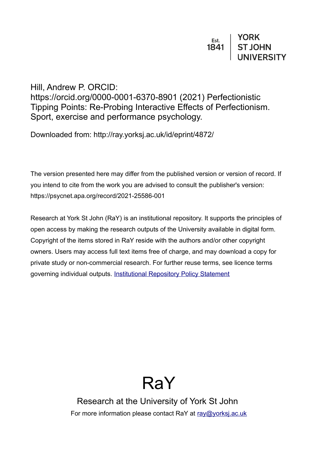## Hill, Andrew P. ORCID:

https://orcid.org/0000-0001-6370-8901 (2021) Perfectionistic Tipping Points: Re-Probing Interactive Effects of Perfectionism. Sport, exercise and performance psychology.

Downloaded from: http://ray.yorksj.ac.uk/id/eprint/4872/

The version presented here may differ from the published version or version of record. If you intend to cite from the work you are advised to consult the publisher's version: https://psycnet.apa.org/record/2021-25586-001

Research at York St John (RaY) is an institutional repository. It supports the principles of open access by making the research outputs of the University available in digital form. Copyright of the items stored in RaY reside with the authors and/or other copyright owners. Users may access full text items free of charge, and may download a copy for private study or non-commercial research. For further reuse terms, see licence terms governing individual outputs. [Institutional Repository Policy Statement](https://www.yorksj.ac.uk/ils/repository-policies/)

# RaY

Research at the University of York St John For more information please contact RaY at [ray@yorksj.ac.uk](mailto:ray@yorksj.ac.uk)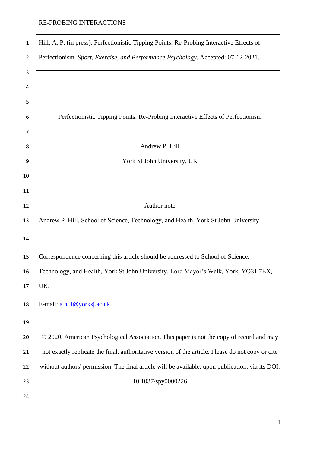| $\mathbf{1}$   | Hill, A. P. (in press). Perfectionistic Tipping Points: Re-Probing Interactive Effects of         |
|----------------|---------------------------------------------------------------------------------------------------|
| $\overline{2}$ | Perfectionism. Sport, Exercise, and Performance Psychology. Accepted: 07-12-2021.                 |
| 3              |                                                                                                   |
| 4              |                                                                                                   |
| 5              |                                                                                                   |
| 6              | Perfectionistic Tipping Points: Re-Probing Interactive Effects of Perfectionism                   |
| 7              |                                                                                                   |
| 8              | Andrew P. Hill                                                                                    |
| 9              | York St John University, UK                                                                       |
| 10             |                                                                                                   |
| 11             |                                                                                                   |
| 12             | Author note                                                                                       |
| 13             | Andrew P. Hill, School of Science, Technology, and Health, York St John University                |
| 14             |                                                                                                   |
| 15             | Correspondence concerning this article should be addressed to School of Science,                  |
| 16             | Technology, and Health, York St John University, Lord Mayor's Walk, York, YO31 7EX,               |
| 17             | UK.                                                                                               |
| 18             | E-mail: a.hill@yorksj.ac.uk                                                                       |
| 19             |                                                                                                   |
| 20             | © 2020, American Psychological Association. This paper is not the copy of record and may          |
| 21             | not exactly replicate the final, authoritative version of the article. Please do not copy or cite |
| 22             | without authors' permission. The final article will be available, upon publication, via its DOI:  |
| 23             | 10.1037/spy0000226                                                                                |
| 24             |                                                                                                   |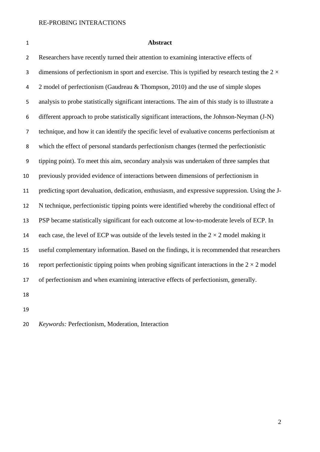#### **Abstract**

 Researchers have recently turned their attention to examining interactive effects of 3 dimensions of perfectionism in sport and exercise. This is typified by research testing the  $2 \times$  2 model of perfectionism (Gaudreau & Thompson, 2010) and the use of simple slopes analysis to probe statistically significant interactions. The aim of this study is to illustrate a different approach to probe statistically significant interactions, the Johnson-Neyman (J-N) technique, and how it can identify the specific level of evaluative concerns perfectionism at which the effect of personal standards perfectionism changes (termed the perfectionistic tipping point). To meet this aim, secondary analysis was undertaken of three samples that previously provided evidence of interactions between dimensions of perfectionism in predicting sport devaluation, dedication, enthusiasm, and expressive suppression. Using the J- N technique, perfectionistic tipping points were identified whereby the conditional effect of PSP became statistically significant for each outcome at low-to-moderate levels of ECP. In 14 each case, the level of ECP was outside of the levels tested in the  $2 \times 2$  model making it useful complementary information. Based on the findings, it is recommended that researchers 16 report perfectionistic tipping points when probing significant interactions in the  $2 \times 2$  model of perfectionism and when examining interactive effects of perfectionism, generally. 

*Keywords:* Perfectionism, Moderation, Interaction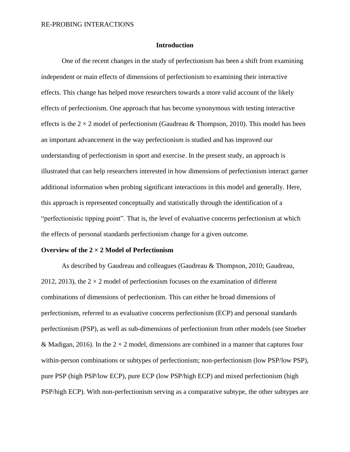#### **Introduction**

One of the recent changes in the study of perfectionism has been a shift from examining independent or main effects of dimensions of perfectionism to examining their interactive effects. This change has helped move researchers towards a more valid account of the likely effects of perfectionism. One approach that has become synonymous with testing interactive effects is the  $2 \times 2$  model of perfectionism (Gaudreau & Thompson, 2010). This model has been an important advancement in the way perfectionism is studied and has improved our understanding of perfectionism in sport and exercise. In the present study, an approach is illustrated that can help researchers interested in how dimensions of perfectionism interact garner additional information when probing significant interactions in this model and generally. Here, this approach is represented conceptually and statistically through the identification of a "perfectionistic tipping point". That is, the level of evaluative concerns perfectionism at which the effects of personal standards perfectionism change for a given outcome.

#### **Overview of the 2 × 2 Model of Perfectionism**

As described by Gaudreau and colleagues (Gaudreau & Thompson, 2010; Gaudreau, 2012, 2013), the  $2 \times 2$  model of perfectionism focuses on the examination of different combinations of dimensions of perfectionism. This can either be broad dimensions of perfectionism, referred to as evaluative concerns perfectionism (ECP) and personal standards perfectionism (PSP), as well as sub-dimensions of perfectionism from other models (see Stoeber & Madigan, 2016). In the  $2 \times 2$  model, dimensions are combined in a manner that captures four within-person combinations or subtypes of perfectionism; non-perfectionism (low PSP/low PSP), pure PSP (high PSP/low ECP), pure ECP (low PSP/high ECP) and mixed perfectionism (high PSP/high ECP). With non-perfectionism serving as a comparative subtype, the other subtypes are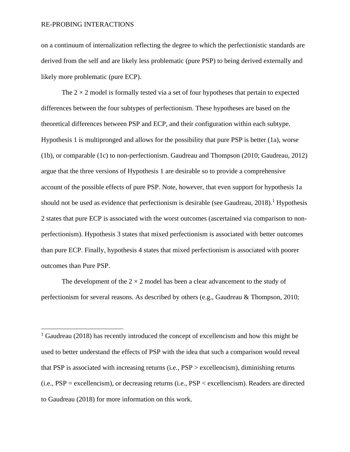on a continuum of internalization reflecting the degree to which the perfectionistic standards are derived from the self and are likely less problematic (pure PSP) to being derived externally and likely more problematic (pure ECP).

The  $2 \times 2$  model is formally tested via a set of four hypotheses that pertain to expected differences between the four subtypes of perfectionism. These hypotheses are based on the theoretical differences between PSP and ECP, and their configuration within each subtype. Hypothesis 1 is multipronged and allows for the possibility that pure PSP is better (1a), worse (1b), or comparable (1c) to non-perfectionism. Gaudreau and Thompson (2010; Gaudreau, 2012) argue that the three versions of Hypothesis 1 are desirable so to provide a comprehensive account of the possible effects of pure PSP. Note, however, that even support for hypothesis 1a should not be used as evidence that perfectionism is desirable (see Gaudreau,  $2018$ ).<sup>1</sup> Hypothesis 2 states that pure ECP is associated with the worst outcomes (ascertained via comparison to nonperfectionism). Hypothesis 3 states that mixed perfectionism is associated with better outcomes than pure ECP. Finally, hypothesis 4 states that mixed perfectionism is associated with poorer outcomes than Pure PSP.

The development of the  $2 \times 2$  model has been a clear advancement to the study of perfectionism for several reasons. As described by others (e.g., Gaudreau & Thompson, 2010;

 $1$  Gaudreau (2018) has recently introduced the concept of excellencism and how this might be used to better understand the effects of PSP with the idea that such a comparison would reveal that PSP is associated with increasing returns (i.e., PSP > excellencism), diminishing returns (i.e., PSP = excellencism), or decreasing returns (i.e., PSP < excellencism). Readers are directed to Gaudreau (2018) for more information on this work.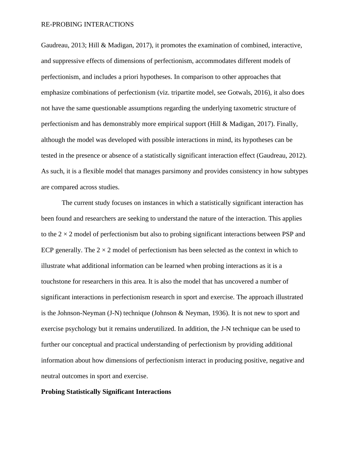Gaudreau, 2013; Hill & Madigan, 2017), it promotes the examination of combined, interactive, and suppressive effects of dimensions of perfectionism, accommodates different models of perfectionism, and includes a priori hypotheses. In comparison to other approaches that emphasize combinations of perfectionism (viz. tripartite model, see Gotwals, 2016), it also does not have the same questionable assumptions regarding the underlying taxometric structure of perfectionism and has demonstrably more empirical support (Hill & Madigan, 2017). Finally, although the model was developed with possible interactions in mind, its hypotheses can be tested in the presence or absence of a statistically significant interaction effect (Gaudreau, 2012). As such, it is a flexible model that manages parsimony and provides consistency in how subtypes are compared across studies.

The current study focuses on instances in which a statistically significant interaction has been found and researchers are seeking to understand the nature of the interaction. This applies to the  $2 \times 2$  model of perfectionism but also to probing significant interactions between PSP and ECP generally. The  $2 \times 2$  model of perfectionism has been selected as the context in which to illustrate what additional information can be learned when probing interactions as it is a touchstone for researchers in this area. It is also the model that has uncovered a number of significant interactions in perfectionism research in sport and exercise. The approach illustrated is the Johnson-Neyman (J-N) technique (Johnson & Neyman, 1936). It is not new to sport and exercise psychology but it remains underutilized. In addition, the J-N technique can be used to further our conceptual and practical understanding of perfectionism by providing additional information about how dimensions of perfectionism interact in producing positive, negative and neutral outcomes in sport and exercise.

#### **Probing Statistically Significant Interactions**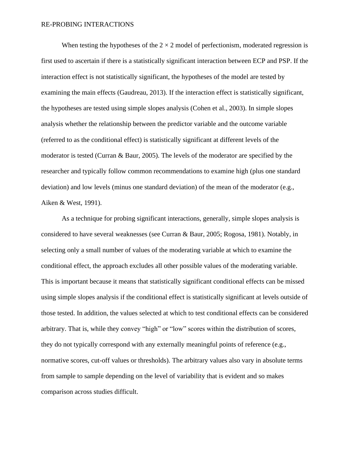When testing the hypotheses of the  $2 \times 2$  model of perfectionism, moderated regression is first used to ascertain if there is a statistically significant interaction between ECP and PSP. If the interaction effect is not statistically significant, the hypotheses of the model are tested by examining the main effects (Gaudreau, 2013). If the interaction effect is statistically significant, the hypotheses are tested using simple slopes analysis (Cohen et al., 2003). In simple slopes analysis whether the relationship between the predictor variable and the outcome variable (referred to as the conditional effect) is statistically significant at different levels of the moderator is tested (Curran & Baur, 2005). The levels of the moderator are specified by the researcher and typically follow common recommendations to examine high (plus one standard deviation) and low levels (minus one standard deviation) of the mean of the moderator (e.g., Aiken & West, 1991).

As a technique for probing significant interactions, generally, simple slopes analysis is considered to have several weaknesses (see Curran & Baur, 2005; Rogosa, 1981). Notably, in selecting only a small number of values of the moderating variable at which to examine the conditional effect, the approach excludes all other possible values of the moderating variable. This is important because it means that statistically significant conditional effects can be missed using simple slopes analysis if the conditional effect is statistically significant at levels outside of those tested. In addition, the values selected at which to test conditional effects can be considered arbitrary. That is, while they convey "high" or "low" scores within the distribution of scores, they do not typically correspond with any externally meaningful points of reference (e.g., normative scores, cut-off values or thresholds). The arbitrary values also vary in absolute terms from sample to sample depending on the level of variability that is evident and so makes comparison across studies difficult.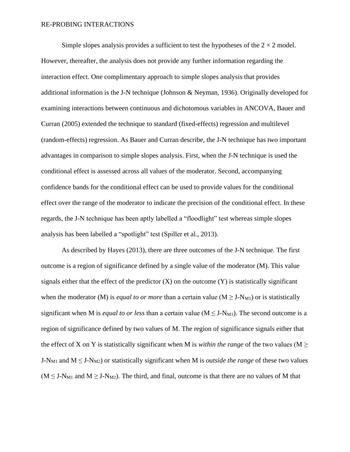Simple slopes analysis provides a sufficient to test the hypotheses of the  $2 \times 2$  model. However, thereafter, the analysis does not provide any further information regarding the interaction effect. One complimentary approach to simple slopes analysis that provides additional information is the J-N technique (Johnson & Neyman, [1936\)](https://www.ncbi.nlm.nih.gov/pmc/articles/PMC5532434/#B9). Originally developed for examining interactions between continuous and dichotomous variables in ANCOVA, Bauer and Curran (2005) extended the technique to standard (fixed-effects) regression and multilevel (random-effects) regression. As Bauer and Curran describe, the J-N technique has two important advantages in comparison to simple slopes analysis. First, when the J-N technique is used the conditional effect is assessed across all values of the moderator. Second, accompanying confidence bands for the conditional effect can be used to provide values for the conditional effect over the range of the moderator to indicate the precision of the conditional effect. In these regards, the J-N technique has been aptly labelled a "floodlight" test whereas simple slopes analysis has been labelled a "spotlight" test (Spiller et al., 2013).

As described by Hayes (2013), there are three outcomes of the J-N technique. The first outcome is a region of significance defined by a single value of the moderator (M). This value signals either that the effect of the predictor  $(X)$  on the outcome  $(Y)$  is statistically significant when the moderator (M) is *equal to or more* than a certain value ( $M \ge J-N_{M1}$ ) or is statistically significant when M is *equal to or less* than a certain value ( $M \le J-N_{M1}$ ). The second outcome is a region of significance defined by two values of M. The region of significance signals either that the effect of X on Y is statistically significant when M is *within the range* of the two values (M  $\ge$ J-N<sub>M1</sub> and  $M \leq J-N_{M2}$ ) or statistically significant when M is *outside the range* of these two values  $(M \leq J-N_{M1}$  and  $M \geq J-N_{M2}$ ). The third, and final, outcome is that there are no values of M that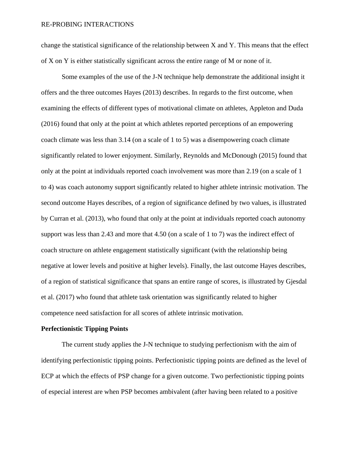change the statistical significance of the relationship between X and Y. This means that the effect of X on Y is either statistically significant across the entire range of M or none of it.

Some examples of the use of the J-N technique help demonstrate the additional insight it offers and the three outcomes Hayes (2013) describes. In regards to the first outcome, when examining the effects of different types of motivational climate on athletes, Appleton and Duda (2016) found that only at the point at which athletes reported perceptions of an empowering coach climate was less than 3.14 (on a scale of 1 to 5) was a disempowering coach climate significantly related to lower enjoyment. Similarly, Reynolds and McDonough (2015) found that only at the point at individuals reported coach involvement was more than 2.19 (on a scale of 1 to 4) was coach autonomy support significantly related to higher athlete intrinsic motivation. The second outcome Hayes describes, of a region of significance defined by two values, is illustrated by Curran et al. (2013), who found that only at the point at individuals reported coach autonomy support was less than 2.43 and more that 4.50 (on a scale of 1 to 7) was the indirect effect of coach structure on athlete engagement statistically significant (with the relationship being negative at lower levels and positive at higher levels). Finally, the last outcome Hayes describes, of a region of statistical significance that spans an entire range of scores, is illustrated by Gjesdal et al. (2017) who found that athlete task orientation was significantly related to higher competence need satisfaction for all scores of athlete intrinsic motivation.

#### **Perfectionistic Tipping Points**

The current study applies the J-N technique to studying perfectionism with the aim of identifying perfectionistic tipping points. Perfectionistic tipping points are defined as the level of ECP at which the effects of PSP change for a given outcome. Two perfectionistic tipping points of especial interest are when PSP becomes ambivalent (after having been related to a positive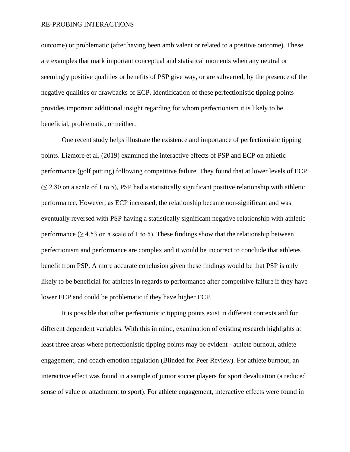outcome) or problematic (after having been ambivalent or related to a positive outcome). These are examples that mark important conceptual and statistical moments when any neutral or seemingly positive qualities or benefits of PSP give way, or are subverted, by the presence of the negative qualities or drawbacks of ECP. Identification of these perfectionistic tipping points provides important additional insight regarding for whom perfectionism it is likely to be beneficial, problematic, or neither.

One recent study helps illustrate the existence and importance of perfectionistic tipping points. Lizmore et al. (2019) examined the interactive effects of PSP and ECP on athletic performance (golf putting) following competitive failure. They found that at lower levels of ECP  $(\leq 2.80$  on a scale of 1 to 5), PSP had a statistically significant positive relationship with athletic performance. However, as ECP increased, the relationship became non-significant and was eventually reversed with PSP having a statistically significant negative relationship with athletic performance ( $\geq 4.53$  on a scale of 1 to 5). These findings show that the relationship between perfectionism and performance are complex and it would be incorrect to conclude that athletes benefit from PSP. A more accurate conclusion given these findings would be that PSP is only likely to be beneficial for athletes in regards to performance after competitive failure if they have lower ECP and could be problematic if they have higher ECP.

It is possible that other perfectionistic tipping points exist in different contexts and for different dependent variables. With this in mind, examination of existing research highlights at least three areas where perfectionistic tipping points may be evident - athlete burnout, athlete engagement, and coach emotion regulation (Blinded for Peer Review). For athlete burnout, an interactive effect was found in a sample of junior soccer players for sport devaluation (a reduced sense of value or attachment to sport). For athlete engagement, interactive effects were found in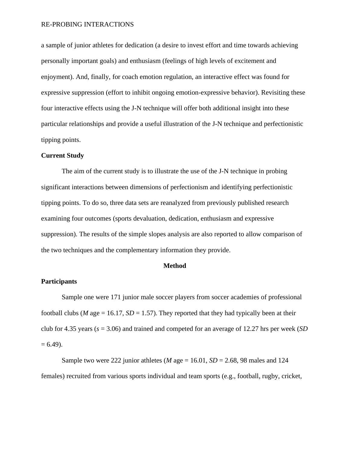a sample of junior athletes for dedication (a desire to invest effort and time towards achieving personally important goals) and enthusiasm (feelings of high levels of excitement and enjoyment). And, finally, for coach emotion regulation, an interactive effect was found for expressive suppression (effort to inhibit ongoing emotion-expressive behavior). Revisiting these four interactive effects using the J-N technique will offer both additional insight into these particular relationships and provide a useful illustration of the J-N technique and perfectionistic tipping points.

#### **Current Study**

The aim of the current study is to illustrate the use of the J-N technique in probing significant interactions between dimensions of perfectionism and identifying perfectionistic tipping points. To do so, three data sets are reanalyzed from previously published research examining four outcomes (sports devaluation, dedication, enthusiasm and expressive suppression). The results of the simple slopes analysis are also reported to allow comparison of the two techniques and the complementary information they provide.

#### **Method**

#### **Participants**

Sample one were 171 junior male soccer players from soccer academies of professional football clubs (*M* age  $= 16.17$ , *SD*  $= 1.57$ ). They reported that they had typically been at their club for 4.35 years (*s* = 3.06) and trained and competed for an average of 12.27 hrs per week (*SD*   $= 6.49$ ).

Sample two were 222 junior athletes (*M* age = 16.01,  $SD = 2.68$ , 98 males and 124 females) recruited from various sports individual and team sports (e.g., football, rugby, cricket,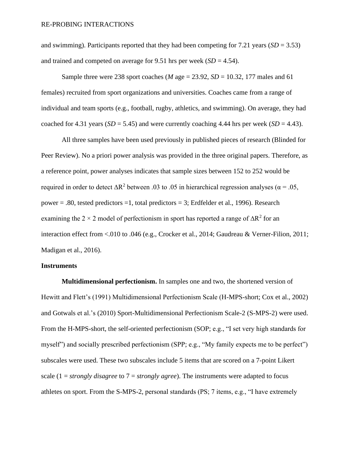and swimming). Participants reported that they had been competing for 7.21 years  $(SD = 3.53)$ and trained and competed on average for 9.51 hrs per week  $(SD = 4.54)$ .

Sample three were 238 sport coaches (*M* age = 23.92, *SD* = 10.32, 177 males and 61 females) recruited from sport organizations and universities. Coaches came from a range of individual and team sports (e.g., football, rugby, athletics, and swimming). On average, they had coached for 4.31 years  $(SD = 5.45)$  and were currently coaching 4.44 hrs per week  $(SD = 4.43)$ .

All three samples have been used previously in published pieces of research (Blinded for Peer Review). No a priori power analysis was provided in the three original papers. Therefore, as a reference point, power analyses indicates that sample sizes between 152 to 252 would be required in order to detect  $\Delta R^2$  between .03 to .05 in hierarchical regression analyses ( $\alpha = .05$ , power = .80, tested predictors =1, total predictors = 3; Erdfelder et al., 1996). Research examining the 2  $\times$  2 model of perfectionism in sport has reported a range of  $\Delta R^2$  for an interaction effect from <.010 to .046 (e.g., Crocker et al., 2014; Gaudreau & Verner-Filion, 2011; Madigan et al., 2016).

#### **Instruments**

**Multidimensional perfectionism.** In samples one and two, the shortened version of Hewitt and Flett's (1991) Multidimensional Perfectionism Scale (H-MPS-short; Cox et al., 2002) and Gotwals et al.'s (2010) Sport-Multidimensional Perfectionism Scale-2 (S-MPS-2) were used. From the H-MPS-short, the self-oriented perfectionism (SOP; e.g., "I set very high standards for myself") and socially prescribed perfectionism (SPP; e.g., "My family expects me to be perfect") subscales were used. These two subscales include 5 items that are scored on a 7-point Likert scale (1 = *strongly disagree* to 7 = *strongly agree*). The instruments were adapted to focus athletes on sport. From the S-MPS-2, personal standards (PS; 7 items, e.g., "I have extremely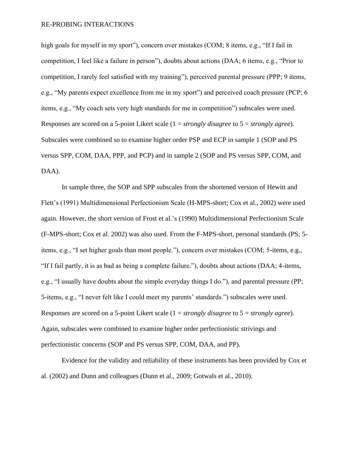high goals for myself in my sport"), concern over mistakes (COM; 8 items, e.g., "If I fail in competition, I feel like a failure in person"), doubts about actions (DAA; 6 items, e.g., "Prior to competition, I rarely feel satisfied with my training"), perceived parental pressure (PPP; 9 items, e.g., "My parents expect excellence from me in my sport") and perceived coach pressure (PCP; 6 items, e.g., "My coach sets very high standards for me in competition") subscales were used. Responses are scored on a 5-point Likert scale (1 = *strongly disagree* to 5 = *strongly agree*). Subscales were combined so to examine higher order PSP and ECP in sample 1 (SOP and PS versus SPP, COM, DAA, PPP, and PCP) and in sample 2 (SOP and PS versus SPP, COM, and DAA).

In sample three, the SOP and SPP subscales from the shortened version of Hewitt and Flett's (1991) Multidimensional Perfectionism Scale (H-MPS-short; Cox et al., 2002) were used again. However, the short version of Frost et al.'s (1990) Multidimensional Perfectionism Scale (F-MPS-short; Cox et al. 2002) was also used. From the F-MPS-short, personal standards (PS; 5 items, e.g., "I set higher goals than most people."), concern over mistakes (COM; 5-items, e.g., "If I fail partly, it is as bad as being a complete failure."), doubts about actions (DAA; 4-items, e.g., "I usually have doubts about the simple everyday things I do."), and parental pressure (PP; 5-items, e.g., "I never felt like I could meet my parents' standards.") subscales were used. Responses are scored on a 5-point Likert scale (1 = *strongly disagree* to 5 = *strongly agree*). Again, subscales were combined to examine higher order perfectionistic strivings and perfectionistic concerns (SOP and PS versus SPP, COM, DAA, and PP).

Evidence for the validity and reliability of these instruments has been provided by Cox et al. (2002) and Dunn and colleagues (Dunn et al., 2009; Gotwals et al., 2010).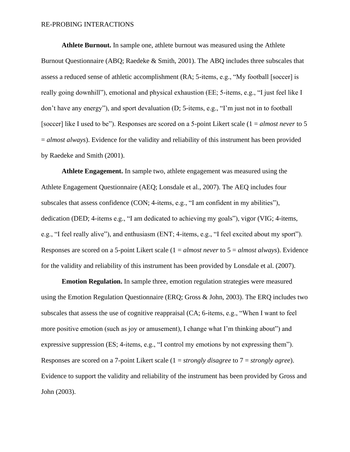**Athlete Burnout.** In sample one, athlete burnout was measured using the Athlete Burnout Questionnaire (ABQ; Raedeke & Smith, 2001). The ABQ includes three subscales that assess a reduced sense of athletic accomplishment (RA; 5-items, e.g., "My football [soccer] is really going downhill"), emotional and physical exhaustion (EE; 5-items, e.g., "I just feel like I don't have any energy"), and sport devaluation (D; 5-items, e.g., "I'm just not in to football [soccer] like I used to be"). Responses are scored on a 5-point Likert scale (1 = *almost never* to 5 = *almost always*). Evidence for the validity and reliability of this instrument has been provided by Raedeke and Smith (2001).

**Athlete Engagement.** In sample two, athlete engagement was measured using the Athlete Engagement Questionnaire (AEQ; Lonsdale et al., 2007). The AEQ includes four subscales that assess confidence (CON; 4-items, e.g., "I am confident in my abilities"), dedication (DED; 4-items e.g., "I am dedicated to achieving my goals"), vigor (VIG; 4-items, e.g., "I feel really alive"), and enthusiasm (ENT; 4-items, e.g., "I feel excited about my sport"). Responses are scored on a 5-point Likert scale (1 = *almost never* to 5 = *almost always*). Evidence for the validity and reliability of this instrument has been provided by Lonsdale et al. (2007).

**Emotion Regulation.** In sample three, emotion regulation strategies were measured using the Emotion Regulation Questionnaire (ERQ; Gross & John, 2003). The ERQ includes two subscales that assess the use of cognitive reappraisal (CA; 6-items, e.g., "When I want to feel more positive emotion (such as joy or amusement), I change what I'm thinking about") and expressive suppression (ES; 4-items, e.g., "I control my emotions by not expressing them"). Responses are scored on a 7-point Likert scale (1 = *strongly disagree* to 7 = *strongly agree*). Evidence to support the validity and reliability of the instrument has been provided by Gross and John (2003).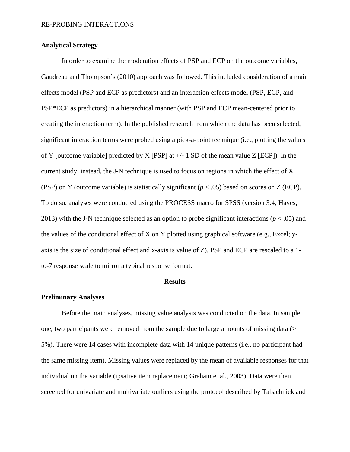#### **Analytical Strategy**

In order to examine the moderation effects of PSP and ECP on the outcome variables, Gaudreau and Thompson's (2010) approach was followed. This included consideration of a main effects model (PSP and ECP as predictors) and an interaction effects model (PSP, ECP, and PSP\*ECP as predictors) in a hierarchical manner (with PSP and ECP mean-centered prior to creating the interaction term). In the published research from which the data has been selected, significant interaction terms were probed using a pick-a-point technique (i.e., plotting the values of Y [outcome variable] predicted by X [PSP] at  $+/- 1$  SD of the mean value Z [ECP]). In the current study, instead, the J-N technique is used to focus on regions in which the effect of X (PSP) on Y (outcome variable) is statistically significant (*p* < .05) based on scores on Z (ECP). To do so, analyses were conducted using the PROCESS macro for SPSS (version 3.4; Hayes, 2013) with the J-N technique selected as an option to probe significant interactions ( $p < .05$ ) and the values of the conditional effect of X on Y plotted using graphical software (e.g., Excel; yaxis is the size of conditional effect and x-axis is value of Z). PSP and ECP are rescaled to a 1 to-7 response scale to mirror a typical response format.

#### **Results**

#### **Preliminary Analyses**

Before the main analyses, missing value analysis was conducted on the data. In sample one, two participants were removed from the sample due to large amounts of missing data (> 5%). There were 14 cases with incomplete data with 14 unique patterns (i.e., no participant had the same missing item). Missing values were replaced by the mean of available responses for that individual on the variable (ipsative item replacement; Graham et al., 2003). Data were then screened for univariate and multivariate outliers using the protocol described by Tabachnick and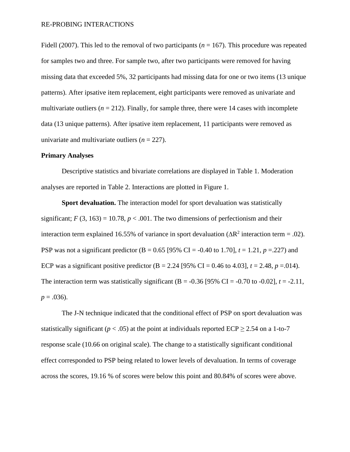Fidell (2007). This led to the removal of two participants (*n* = 167). This procedure was repeated for samples two and three. For sample two, after two participants were removed for having missing data that exceeded 5%, 32 participants had missing data for one or two items (13 unique patterns). After ipsative item replacement, eight participants were removed as univariate and multivariate outliers  $(n = 212)$ . Finally, for sample three, there were 14 cases with incomplete data (13 unique patterns). After ipsative item replacement, 11 participants were removed as univariate and multivariate outliers  $(n = 227)$ .

#### **Primary Analyses**

Descriptive statistics and bivariate correlations are displayed in Table 1. Moderation analyses are reported in Table 2. Interactions are plotted in Figure 1.

**Sport devaluation.** The interaction model for sport devaluation was statistically significant;  $F(3, 163) = 10.78$ ,  $p < .001$ . The two dimensions of perfectionism and their interaction term explained 16.55% of variance in sport devaluation ( $\Delta R^2$  interaction term = .02). PSP was not a significant predictor (B = 0.65 [95% CI = -0.40 to 1.70],  $t = 1.21$ ,  $p = .227$ ) and ECP was a significant positive predictor (B = 2.24 [95% CI = 0.46 to 4.03],  $t = 2.48$ ,  $p = .014$ ). The interaction term was statistically significant  $(B = -0.36$  [95% CI =  $-0.70$  to  $-0.02$ ],  $t = -2.11$ ,  $p = .036$ ).

The J-N technique indicated that the conditional effect of PSP on sport devaluation was statistically significant ( $p < .05$ ) at the point at individuals reported ECP  $\geq$  2.54 on a 1-to-7 response scale (10.66 on original scale). The change to a statistically significant conditional effect corresponded to PSP being related to lower levels of devaluation. In terms of coverage across the scores, 19.16 % of scores were below this point and 80.84% of scores were above.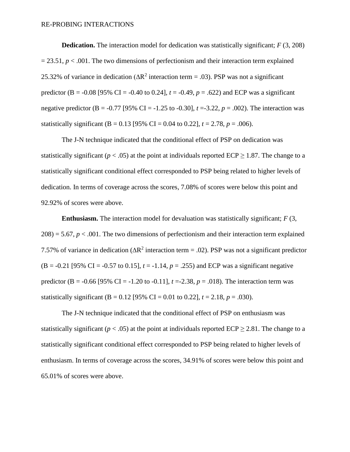**Dedication.** The interaction model for dedication was statistically significant; *F* (3, 208)  $= 23.51, p < .001$ . The two dimensions of perfectionism and their interaction term explained 25.32% of variance in dedication ( $\Delta R^2$  interaction term = .03). PSP was not a significant predictor (B = -0.08 [95% CI = -0.40 to 0.24],  $t = -0.49$ ,  $p = .622$ ) and ECP was a significant negative predictor (B = -0.77 [95% CI = -1.25 to -0.30],  $t = -3.22$ ,  $p = .002$ ). The interaction was statistically significant (B = 0.13 [95% CI = 0.04 to 0.22],  $t = 2.78$ ,  $p = .006$ ).

The J-N technique indicated that the conditional effect of PSP on dedication was statistically significant ( $p < .05$ ) at the point at individuals reported ECP  $\geq$  1.87. The change to a statistically significant conditional effect corresponded to PSP being related to higher levels of dedication. In terms of coverage across the scores, 7.08% of scores were below this point and 92.92% of scores were above.

**Enthusiasm.** The interaction model for devaluation was statistically significant; *F* (3,  $208$ ) = 5.67,  $p < .001$ . The two dimensions of perfectionism and their interaction term explained 7.57% of variance in dedication ( $\Delta R^2$  interaction term = .02). PSP was not a significant predictor  $(B = -0.21$  [95% CI =  $-0.57$  to 0.15],  $t = -1.14$ ,  $p = .255$ ) and ECP was a significant negative predictor (B =  $-0.66$  [95% CI =  $-1.20$  to  $-0.11$ ],  $t = -2.38$ ,  $p = .018$ ). The interaction term was statistically significant (B = 0.12 [95% CI = 0.01 to 0.22],  $t = 2.18$ ,  $p = .030$ ).

The J-N technique indicated that the conditional effect of PSP on enthusiasm was statistically significant ( $p < .05$ ) at the point at individuals reported ECP  $\geq 2.81$ . The change to a statistically significant conditional effect corresponded to PSP being related to higher levels of enthusiasm. In terms of coverage across the scores, 34.91% of scores were below this point and 65.01% of scores were above.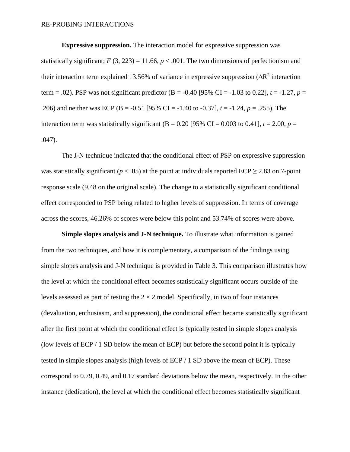**Expressive suppression.** The interaction model for expressive suppression was statistically significant;  $F(3, 223) = 11.66$ ,  $p < .001$ . The two dimensions of perfectionism and their interaction term explained 13.56% of variance in expressive suppression  $(\Delta R^2$  interaction term = .02). PSP was not significant predictor (B = -0.40 [95% CI = -1.03 to 0.22],  $t = -1.27$ ,  $p =$ .206) and neither was ECP (B = -0.51 [95% CI = -1.40 to -0.37], *t* = -1.24, *p* = .255). The interaction term was statistically significant (B = 0.20 [95% CI = 0.003 to 0.41],  $t = 2.00$ ,  $p =$ .047).

The J-N technique indicated that the conditional effect of PSP on expressive suppression was statistically significant ( $p < .05$ ) at the point at individuals reported ECP  $\geq 2.83$  on 7-point response scale (9.48 on the original scale). The change to a statistically significant conditional effect corresponded to PSP being related to higher levels of suppression. In terms of coverage across the scores, 46.26% of scores were below this point and 53.74% of scores were above.

**Simple slopes analysis and J-N technique.** To illustrate what information is gained from the two techniques, and how it is complementary, a comparison of the findings using simple slopes analysis and J-N technique is provided in Table 3. This comparison illustrates how the level at which the conditional effect becomes statistically significant occurs outside of the levels assessed as part of testing the  $2 \times 2$  model. Specifically, in two of four instances (devaluation, enthusiasm, and suppression), the conditional effect became statistically significant after the first point at which the conditional effect is typically tested in simple slopes analysis (low levels of ECP / 1 SD below the mean of ECP) but before the second point it is typically tested in simple slopes analysis (high levels of ECP / 1 SD above the mean of ECP). These correspond to 0.79, 0.49, and 0.17 standard deviations below the mean, respectively. In the other instance (dedication), the level at which the conditional effect becomes statistically significant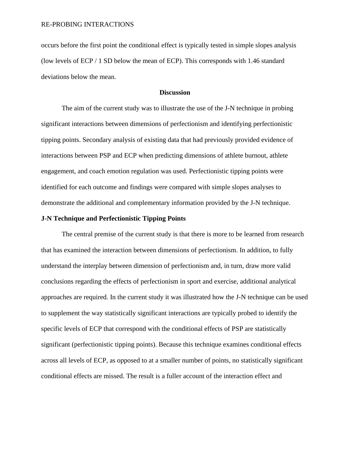occurs before the first point the conditional effect is typically tested in simple slopes analysis (low levels of ECP / 1 SD below the mean of ECP). This corresponds with 1.46 standard deviations below the mean.

#### **Discussion**

The aim of the current study was to illustrate the use of the J-N technique in probing significant interactions between dimensions of perfectionism and identifying perfectionistic tipping points. Secondary analysis of existing data that had previously provided evidence of interactions between PSP and ECP when predicting dimensions of athlete burnout, athlete engagement, and coach emotion regulation was used. Perfectionistic tipping points were identified for each outcome and findings were compared with simple slopes analyses to demonstrate the additional and complementary information provided by the J-N technique.

#### **J-N Technique and Perfectionistic Tipping Points**

The central premise of the current study is that there is more to be learned from research that has examined the interaction between dimensions of perfectionism. In addition, to fully understand the interplay between dimension of perfectionism and, in turn, draw more valid conclusions regarding the effects of perfectionism in sport and exercise, additional analytical approaches are required. In the current study it was illustrated how the J-N technique can be used to supplement the way statistically significant interactions are typically probed to identify the specific levels of ECP that correspond with the conditional effects of PSP are statistically significant (perfectionistic tipping points). Because this technique examines conditional effects across all levels of ECP, as opposed to at a smaller number of points, no statistically significant conditional effects are missed. The result is a fuller account of the interaction effect and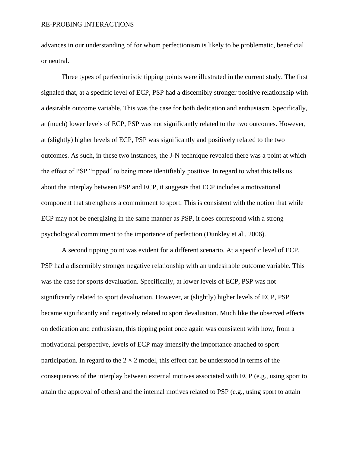advances in our understanding of for whom perfectionism is likely to be problematic, beneficial or neutral.

Three types of perfectionistic tipping points were illustrated in the current study. The first signaled that, at a specific level of ECP, PSP had a discernibly stronger positive relationship with a desirable outcome variable. This was the case for both dedication and enthusiasm. Specifically, at (much) lower levels of ECP, PSP was not significantly related to the two outcomes. However, at (slightly) higher levels of ECP, PSP was significantly and positively related to the two outcomes. As such, in these two instances, the J-N technique revealed there was a point at which the effect of PSP "tipped" to being more identifiably positive. In regard to what this tells us about the interplay between PSP and ECP, it suggests that ECP includes a motivational component that strengthens a commitment to sport. This is consistent with the notion that while ECP may not be energizing in the same manner as PSP, it does correspond with a strong psychological commitment to the importance of perfection (Dunkley et al., 2006).

A second tipping point was evident for a different scenario. At a specific level of ECP, PSP had a discernibly stronger negative relationship with an undesirable outcome variable. This was the case for sports devaluation. Specifically, at lower levels of ECP, PSP was not significantly related to sport devaluation. However, at (slightly) higher levels of ECP, PSP became significantly and negatively related to sport devaluation. Much like the observed effects on dedication and enthusiasm, this tipping point once again was consistent with how, from a motivational perspective, levels of ECP may intensify the importance attached to sport participation. In regard to the  $2 \times 2$  model, this effect can be understood in terms of the consequences of the interplay between external motives associated with ECP (e.g., using sport to attain the approval of others) and the internal motives related to PSP (e.g., using sport to attain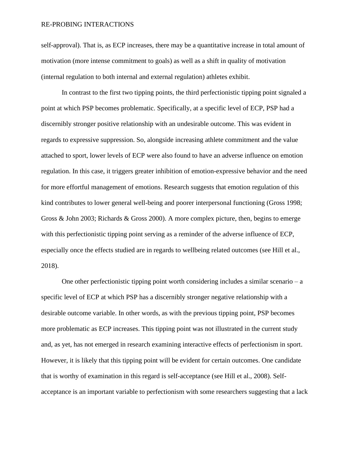self-approval). That is, as ECP increases, there may be a quantitative increase in total amount of motivation (more intense commitment to goals) as well as a shift in quality of motivation (internal regulation to both internal and external regulation) athletes exhibit.

In contrast to the first two tipping points, the third perfectionistic tipping point signaled a point at which PSP becomes problematic. Specifically, at a specific level of ECP, PSP had a discernibly stronger positive relationship with an undesirable outcome. This was evident in regards to expressive suppression. So, alongside increasing athlete commitment and the value attached to sport, lower levels of ECP were also found to have an adverse influence on emotion regulation. In this case, it triggers greater inhibition of emotion-expressive behavior and the need for more effortful management of emotions. Research suggests that emotion regulation of this kind contributes to lower general well-being and poorer interpersonal functioning (Gross 1998; Gross & John 2003; Richards & Gross 2000). A more complex picture, then, begins to emerge with this perfectionistic tipping point serving as a reminder of the adverse influence of ECP, especially once the effects studied are in regards to wellbeing related outcomes (see Hill et al., 2018).

One other perfectionistic tipping point worth considering includes a similar scenario  $-a$ specific level of ECP at which PSP has a discernibly stronger negative relationship with a desirable outcome variable. In other words, as with the previous tipping point, PSP becomes more problematic as ECP increases. This tipping point was not illustrated in the current study and, as yet, has not emerged in research examining interactive effects of perfectionism in sport. However, it is likely that this tipping point will be evident for certain outcomes. One candidate that is worthy of examination in this regard is self-acceptance (see Hill et al., 2008). Selfacceptance is an important variable to perfectionism with some researchers suggesting that a lack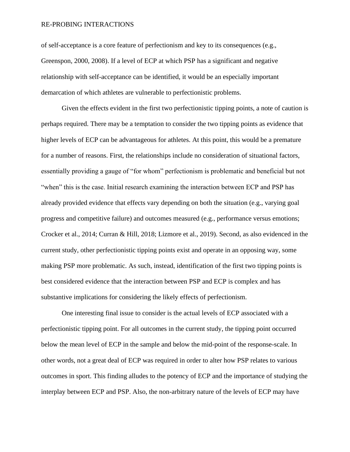of self-acceptance is a core feature of perfectionism and key to its consequences (e.g., Greenspon, 2000, 2008). If a level of ECP at which PSP has a significant and negative relationship with self-acceptance can be identified, it would be an especially important demarcation of which athletes are vulnerable to perfectionistic problems.

Given the effects evident in the first two perfectionistic tipping points, a note of caution is perhaps required. There may be a temptation to consider the two tipping points as evidence that higher levels of ECP can be advantageous for athletes. At this point, this would be a premature for a number of reasons. First, the relationships include no consideration of situational factors, essentially providing a gauge of "for whom" perfectionism is problematic and beneficial but not "when" this is the case. Initial research examining the interaction between ECP and PSP has already provided evidence that effects vary depending on both the situation (e.g., varying goal progress and competitive failure) and outcomes measured (e.g., performance versus emotions; Crocker et al., 2014; Curran & Hill, 2018; Lizmore et al., 2019). Second, as also evidenced in the current study, other perfectionistic tipping points exist and operate in an opposing way, some making PSP more problematic. As such, instead, identification of the first two tipping points is best considered evidence that the interaction between PSP and ECP is complex and has substantive implications for considering the likely effects of perfectionism.

One interesting final issue to consider is the actual levels of ECP associated with a perfectionistic tipping point. For all outcomes in the current study, the tipping point occurred below the mean level of ECP in the sample and below the mid-point of the response-scale. In other words, not a great deal of ECP was required in order to alter how PSP relates to various outcomes in sport. This finding alludes to the potency of ECP and the importance of studying the interplay between ECP and PSP. Also, the non-arbitrary nature of the levels of ECP may have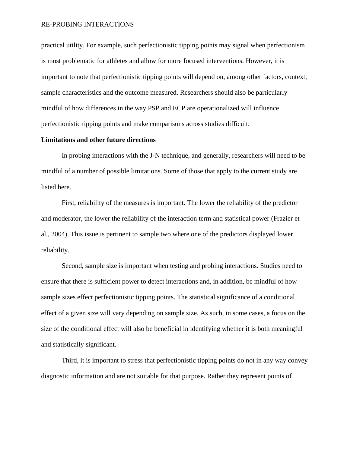practical utility. For example, such perfectionistic tipping points may signal when perfectionism is most problematic for athletes and allow for more focused interventions. However, it is important to note that perfectionistic tipping points will depend on, among other factors, context, sample characteristics and the outcome measured. Researchers should also be particularly mindful of how differences in the way PSP and ECP are operationalized will influence perfectionistic tipping points and make comparisons across studies difficult.

#### **Limitations and other future directions**

In probing interactions with the J-N technique, and generally, researchers will need to be mindful of a number of possible limitations. Some of those that apply to the current study are listed here.

First, reliability of the measures is important. The lower the reliability of the predictor and moderator, the lower the reliability of the interaction term and statistical power (Frazier et al., 2004). This issue is pertinent to sample two where one of the predictors displayed lower reliability.

Second, sample size is important when testing and probing interactions. Studies need to ensure that there is sufficient power to detect interactions and, in addition, be mindful of how sample sizes effect perfectionistic tipping points. The statistical significance of a conditional effect of a given size will vary depending on sample size. As such, in some cases, a focus on the size of the conditional effect will also be beneficial in identifying whether it is both meaningful and statistically significant.

Third, it is important to stress that perfectionistic tipping points do not in any way convey diagnostic information and are not suitable for that purpose. Rather they represent points of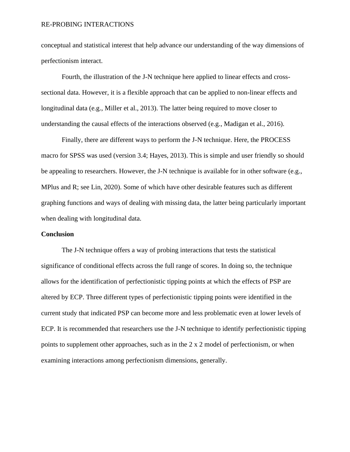conceptual and statistical interest that help advance our understanding of the way dimensions of perfectionism interact.

Fourth, the illustration of the J-N technique here applied to linear effects and crosssectional data. However, it is a flexible approach that can be applied to non-linear effects and longitudinal data (e.g., Miller et al., 2013). The latter being required to move closer to understanding the causal effects of the interactions observed (e.g., Madigan et al., 2016).

Finally, there are different ways to perform the J-N technique. Here, the PROCESS macro for SPSS was used (version 3.4; Hayes, 2013). This is simple and user friendly so should be appealing to researchers. However, the J-N technique is available for in other software (e.g., MPlus and R; see Lin, 2020). Some of which have other desirable features such as different graphing functions and ways of dealing with missing data, the latter being particularly important when dealing with longitudinal data.

#### **Conclusion**

The J-N technique offers a way of probing interactions that tests the statistical significance of conditional effects across the full range of scores. In doing so, the technique allows for the identification of perfectionistic tipping points at which the effects of PSP are altered by ECP. Three different types of perfectionistic tipping points were identified in the current study that indicated PSP can become more and less problematic even at lower levels of ECP. It is recommended that researchers use the J-N technique to identify perfectionistic tipping points to supplement other approaches, such as in the 2 x 2 model of perfectionism, or when examining interactions among perfectionism dimensions, generally.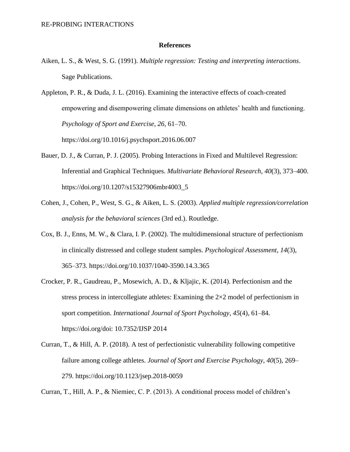#### **References**

Aiken, L. S., & West, S. G. (1991). *Multiple regression: Testing and interpreting interactions*. Sage Publications.

Appleton, P. R., & Duda, J. L. (2016). Examining the interactive effects of coach-created empowering and disempowering climate dimensions on athletes' health and functioning. *Psychology of Sport and Exercise*, *26*, 61–70. https://doi.org/10.1016/j.psychsport.2016.06.007

- Bauer, D. J., & Curran, P. J. (2005). Probing Interactions in Fixed and Multilevel Regression: Inferential and Graphical Techniques. *Multivariate Behavioral Research*, *40*(3), 373–400. https://doi.org/10.1207/s15327906mbr4003\_5
- Cohen, J., Cohen, P., West, S. G., & Aiken, L. S. (2003). *Applied multiple regression/correlation analysis for the behavioral sciences* (3rd ed.). Routledge.
- Cox, B. J., Enns, M. W., & Clara, I. P. (2002). The multidimensional structure of perfectionism in clinically distressed and college student samples. *Psychological Assessment*, *14*(3), 365–373. https://doi.org/10.1037/1040-3590.14.3.365
- Crocker, P. R., Gaudreau, P., Mosewich, A. D., & Kljajic, K. (2014). Perfectionism and the stress process in intercollegiate athletes: Examining the  $2\times 2$  model of perfectionism in sport competition. *International Journal of Sport Psychology*, *45*(4), 61–84. https://doi.org/doi: 10.7352/IJSP 2014
- Curran, T., & Hill, A. P. (2018). A test of perfectionistic vulnerability following competitive failure among college athletes. *Journal of Sport and Exercise Psychology*, *40*(5), 269– 279. https://doi.org/10.1123/jsep.2018-0059

Curran, T., Hill, A. P., & Niemiec, C. P. (2013). A conditional process model of children's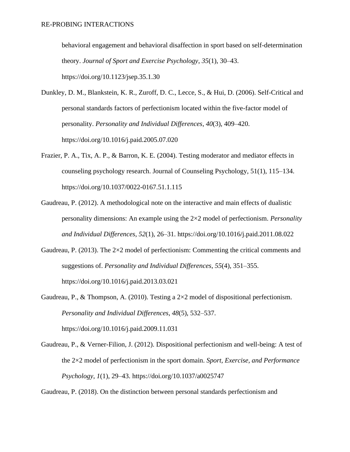behavioral engagement and behavioral disaffection in sport based on self-determination theory. *Journal of Sport and Exercise Psychology*, *35*(1), 30–43. https://doi.org/10.1123/jsep.35.1.30

- Dunkley, D. M., Blankstein, K. R., Zuroff, D. C., Lecce, S., & Hui, D. (2006). Self-Critical and personal standards factors of perfectionism located within the five-factor model of personality. *Personality and Individual Differences*, *40*(3), 409–420. https://doi.org/10.1016/j.paid.2005.07.020
- Frazier, P. A., Tix, A. P., & Barron, K. E. (2004). Testing moderator and mediator effects in counseling psychology research. Journal of Counseling Psychology, 51(1), 115–134. https://doi.org/10.1037/0022-0167.51.1.115
- Gaudreau, P. (2012). A methodological note on the interactive and main effects of dualistic personality dimensions: An example using the 2×2 model of perfectionism. *Personality and Individual Differences*, *52*(1), 26–31. https://doi.org/10.1016/j.paid.2011.08.022
- Gaudreau, P. (2013). The 2×2 model of perfectionism: Commenting the critical comments and suggestions of. *Personality and Individual Differences*, *55*(4), 351–355. https://doi.org/10.1016/j.paid.2013.03.021

Gaudreau, P., & Thompson, A. (2010). Testing a  $2\times 2$  model of dispositional perfectionism. *Personality and Individual Differences*, *48*(5), 532–537. https://doi.org/10.1016/j.paid.2009.11.031

Gaudreau, P., & Verner-Filion, J. (2012). Dispositional perfectionism and well-being: A test of the 2×2 model of perfectionism in the sport domain. *Sport, Exercise, and Performance Psychology*, *1*(1), 29–43. https://doi.org/10.1037/a0025747

Gaudreau, P. (2018). On the distinction between personal standards perfectionism and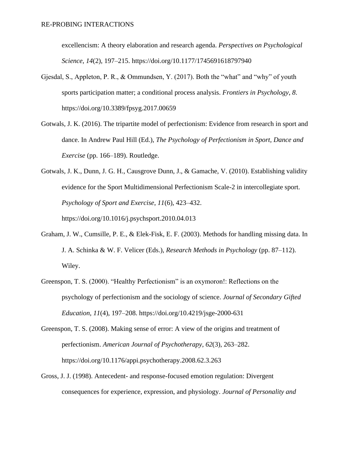excellencism: A theory elaboration and research agenda. *Perspectives on Psychological Science*, *14*(2), 197–215. https://doi.org/10.1177/1745691618797940

- Gjesdal, S., Appleton, P. R., & Ommundsen, Y. (2017). Both the "what" and "why" of youth sports participation matter; a conditional process analysis. *Frontiers in Psychology*, *8*. https://doi.org/10.3389/fpsyg.2017.00659
- Gotwals, J. K. (2016). The tripartite model of perfectionism: Evidence from research in sport and dance. In Andrew Paul Hill (Ed.), *The Psychology of Perfectionism in Sport, Dance and Exercise* (pp. 166–189). Routledge.
- Gotwals, J. K., Dunn, J. G. H., Causgrove Dunn, J., & Gamache, V. (2010). Establishing validity evidence for the Sport Multidimensional Perfectionism Scale-2 in intercollegiate sport. *Psychology of Sport and Exercise*, *11*(6), 423–432. https://doi.org/10.1016/j.psychsport.2010.04.013
- Graham, J. W., Cumsille, P. E., & Elek-Fisk, E. F. (2003). Methods for handling missing data. In J. A. Schinka & W. F. Velicer (Eds.), *Research Methods in Psychology* (pp. 87–112). Wiley.
- Greenspon, T. S. (2000). "Healthy Perfectionism" is an oxymoron!: Reflections on the psychology of perfectionism and the sociology of science. *Journal of Secondary Gifted Education*, *11*(4), 197–208. https://doi.org/10.4219/jsge-2000-631

Greenspon, T. S. (2008). Making sense of error: A view of the origins and treatment of perfectionism. *American Journal of Psychotherapy*, *62*(3), 263–282. https://doi.org/10.1176/appi.psychotherapy.2008.62.3.263

Gross, J. J. (1998). Antecedent- and response-focused emotion regulation: Divergent consequences for experience, expression, and physiology. *Journal of Personality and*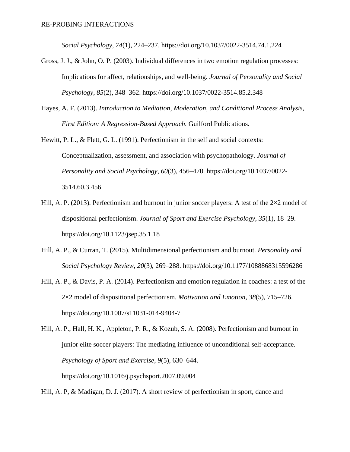*Social Psychology*, *74*(1), 224–237. https://doi.org/10.1037/0022-3514.74.1.224

- Gross, J. J., & John, O. P. (2003). Individual differences in two emotion regulation processes: Implications for affect, relationships, and well-being. *Journal of Personality and Social Psychology*, *85*(2), 348–362. https://doi.org/10.1037/0022-3514.85.2.348
- Hayes, A. F. (2013). *Introduction to Mediation, Moderation, and Conditional Process Analysis, First Edition: A Regression-Based Approach.* Guilford Publications.
- Hewitt, P. L., & Flett, G. L. (1991). Perfectionism in the self and social contexts: Conceptualization, assessment, and association with psychopathology. *Journal of Personality and Social Psychology*, *60*(3), 456–470. https://doi.org/10.1037/0022- 3514.60.3.456
- Hill, A. P. (2013). Perfectionism and burnout in junior soccer players: A test of the  $2\times2$  model of dispositional perfectionism. *Journal of Sport and Exercise Psychology*, *35*(1), 18–29. https://doi.org/10.1123/jsep.35.1.18
- Hill, A. P., & Curran, T. (2015). Multidimensional perfectionism and burnout. *Personality and Social Psychology Review*, *20*(3), 269–288. https://doi.org/10.1177/1088868315596286
- Hill, A. P., & Davis, P. A. (2014). Perfectionism and emotion regulation in coaches: a test of the 2×2 model of dispositional perfectionism. *Motivation and Emotion*, *38*(5), 715–726. https://doi.org/10.1007/s11031-014-9404-7

Hill, A. P, & Madigan, D. J. (2017). A short review of perfectionism in sport, dance and

Hill, A. P., Hall, H. K., Appleton, P. R., & Kozub, S. A. (2008). Perfectionism and burnout in junior elite soccer players: The mediating influence of unconditional self-acceptance. *Psychology of Sport and Exercise*, *9*(5), 630–644. https://doi.org/10.1016/j.psychsport.2007.09.004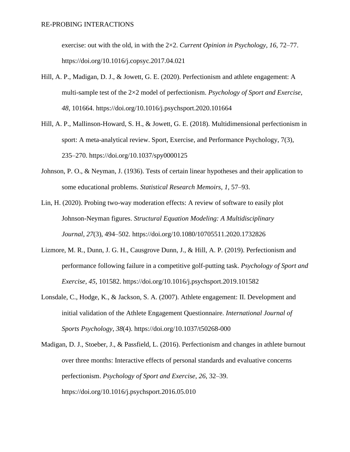exercise: out with the old, in with the 2×2. *Current Opinion in Psychology*, *16*, 72–77. https://doi.org/10.1016/j.copsyc.2017.04.021

- Hill, A. P., Madigan, D. J., & Jowett, G. E. (2020). Perfectionism and athlete engagement: A multi-sample test of the 2×2 model of perfectionism. *Psychology of Sport and Exercise*, *48*, 101664. https://doi.org/10.1016/j.psychsport.2020.101664
- Hill, A. P., Mallinson-Howard, S. H., & Jowett, G. E. (2018). Multidimensional perfectionism in sport: A meta-analytical review. Sport, Exercise, and Performance Psychology, 7(3), 235–270. https://doi.org/10.1037/spy0000125
- Johnson, P. O., & Neyman, J. (1936). Tests of certain linear hypotheses and their application to some educational problems. *Statistical Research Memoirs*, *1*, 57–93.
- Lin, H. (2020). Probing two-way moderation effects: A review of software to easily plot Johnson-Neyman figures. *Structural Equation Modeling: A Multidisciplinary Journal*, *27*(3), 494–502. https://doi.org/10.1080/10705511.2020.1732826
- Lizmore, M. R., Dunn, J. G. H., Causgrove Dunn, J., & Hill, A. P. (2019). Perfectionism and performance following failure in a competitive golf-putting task. *Psychology of Sport and Exercise*, *45*, 101582. https://doi.org/10.1016/j.psychsport.2019.101582
- Lonsdale, C., Hodge, K., & Jackson, S. A. (2007). Athlete engagement: II. Development and initial validation of the Athlete Engagement Questionnaire. *International Journal of Sports Psychology*, *38*(4). https://doi.org/10.1037/t50268-000
- Madigan, D. J., Stoeber, J., & Passfield, L. (2016). Perfectionism and changes in athlete burnout over three months: Interactive effects of personal standards and evaluative concerns perfectionism. *Psychology of Sport and Exercise*, *26*, 32–39. https://doi.org/10.1016/j.psychsport.2016.05.010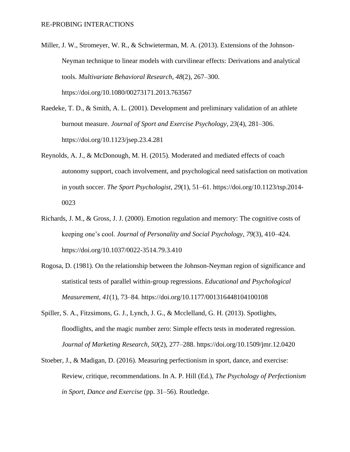- Miller, J. W., Stromeyer, W. R., & Schwieterman, M. A. (2013). Extensions of the Johnson-Neyman technique to linear models with curvilinear effects: Derivations and analytical tools. *Multivariate Behavioral Research*, *48*(2), 267–300. https://doi.org/10.1080/00273171.2013.763567
- Raedeke, T. D., & Smith, A. L. (2001). Development and preliminary validation of an athlete burnout measure. *Journal of Sport and Exercise Psychology*, *23*(4), 281–306. https://doi.org/10.1123/jsep.23.4.281
- Reynolds, A. J., & McDonough, M. H. (2015). Moderated and mediated effects of coach autonomy support, coach involvement, and psychological need satisfaction on motivation in youth soccer. *The Sport Psychologist*, *29*(1), 51–61. https://doi.org/10.1123/tsp.2014- 0023
- Richards, J. M., & Gross, J. J. (2000). Emotion regulation and memory: The cognitive costs of keeping one's cool. *Journal of Personality and Social Psychology*, *79*(3), 410–424. https://doi.org/10.1037/0022-3514.79.3.410
- Rogosa, D. (1981). On the relationship between the Johnson-Neyman region of significance and statistical tests of parallel within-group regressions. *Educational and Psychological Measurement*, *41*(1), 73–84. https://doi.org/10.1177/001316448104100108
- Spiller, S. A., Fitzsimons, G. J., Lynch, J. G., & Mcclelland, G. H. (2013). Spotlights, floodlights, and the magic number zero: Simple effects tests in moderated regression. *Journal of Marketing Research*, *50*(2), 277–288. https://doi.org/10.1509/jmr.12.0420
- Stoeber, J., & Madigan, D. (2016). Measuring perfectionism in sport, dance, and exercise: Review, critique, recommendations. In A. P. Hill (Ed.), *The Psychology of Perfectionism in Sport, Dance and Exercise* (pp. 31–56). Routledge.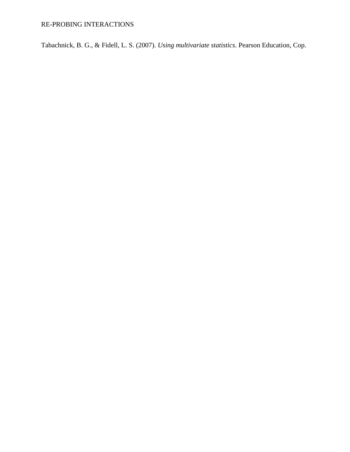Tabachnick, B. G., & Fidell, L. S. (2007). *Using multivariate statistics*. Pearson Education, Cop.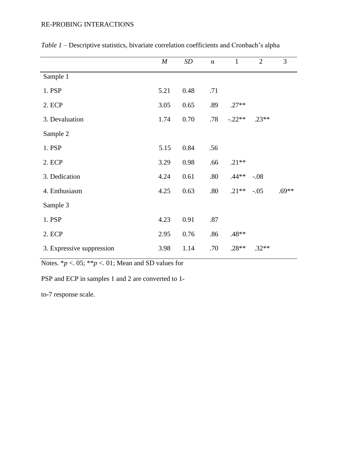|                           | $\boldsymbol{M}$ | SD   | $\alpha$ | $\mathbf{1}$ | $\overline{2}$ | $\overline{3}$ |
|---------------------------|------------------|------|----------|--------------|----------------|----------------|
| Sample 1                  |                  |      |          |              |                |                |
| 1. PSP                    | 5.21             | 0.48 | .71      |              |                |                |
| 2. ECP                    | 3.05             | 0.65 | .89      | $.27**$      |                |                |
| 3. Devaluation            | 1.74             | 0.70 | .78      | $-.22**$     | $.23**$        |                |
| Sample 2                  |                  |      |          |              |                |                |
| 1. PSP                    | 5.15             | 0.84 | .56      |              |                |                |
| 2. ECP                    | 3.29             | 0.98 | .66      | $.21**$      |                |                |
| 3. Dedication             | 4.24             | 0.61 | .80      | $.44**$      | $-.08$         |                |
| 4. Enthusiasm             | 4.25             | 0.63 | .80      | $.21**$      | $-.05$         | $.69**$        |
| Sample 3                  |                  |      |          |              |                |                |
| 1. PSP                    | 4.23             | 0.91 | .87      |              |                |                |
| 2. ECP                    | 2.95             | 0.76 | .86      | .48**        |                |                |
| 3. Expressive suppression | 3.98             | 1.14 | .70      | $.28**$      | $.32**$        |                |

*Table 1* – Descriptive statistics, bivariate correlation coefficients and Cronbach's alpha

Notes.  $* p < .05; ** p < .01;$  Mean and SD values for

PSP and ECP in samples 1 and 2 are converted to 1-

to-7 response scale.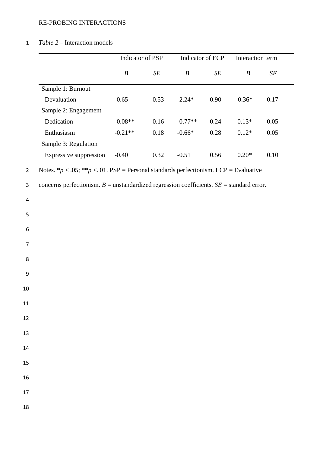## *Table 2 –* Interaction models

|                |                                                                                               | Indicator of PSP |                      | Indicator of ECP |           | Interaction term |                      |
|----------------|-----------------------------------------------------------------------------------------------|------------------|----------------------|------------------|-----------|------------------|----------------------|
|                |                                                                                               | $\boldsymbol{B}$ | $S\hspace{-0.08em}E$ | $\boldsymbol{B}$ | $\cal SE$ | $\boldsymbol{B}$ | $S\hspace{-0.08em}E$ |
|                | Sample 1: Burnout                                                                             |                  |                      |                  |           |                  |                      |
|                | Devaluation                                                                                   | 0.65             | 0.53                 | $2.24*$          | $0.90\,$  | $-0.36*$         | 0.17                 |
|                | Sample 2: Engagement                                                                          |                  |                      |                  |           |                  |                      |
|                | Dedication                                                                                    | $-0.08**$        | 0.16                 | $-0.77**$        | 0.24      | $0.13*$          | 0.05                 |
|                | Enthusiasm                                                                                    | $-0.21**$        | 0.18                 | $-0.66*$         | 0.28      | $0.12*$          | 0.05                 |
|                | Sample 3: Regulation                                                                          |                  |                      |                  |           |                  |                      |
|                | Expressive suppression                                                                        | $-0.40$          | 0.32                 | $-0.51$          | 0.56      | $0.20*$          | 0.10                 |
| $\overline{2}$ | Notes. * $p < .05$ ; * * $p < .01$ . PSP = Personal standards perfectionism. ECP = Evaluative |                  |                      |                  |           |                  |                      |
| 3              | concerns perfectionism. $B =$ unstandardized regression coefficients. $SE =$ standard error.  |                  |                      |                  |           |                  |                      |
| 4              |                                                                                               |                  |                      |                  |           |                  |                      |
| 5              |                                                                                               |                  |                      |                  |           |                  |                      |
|                |                                                                                               |                  |                      |                  |           |                  |                      |
| 6              |                                                                                               |                  |                      |                  |           |                  |                      |
| $\overline{7}$ |                                                                                               |                  |                      |                  |           |                  |                      |
| 8              |                                                                                               |                  |                      |                  |           |                  |                      |
| 9              |                                                                                               |                  |                      |                  |           |                  |                      |
| 10             |                                                                                               |                  |                      |                  |           |                  |                      |
| 11             |                                                                                               |                  |                      |                  |           |                  |                      |
| 12             |                                                                                               |                  |                      |                  |           |                  |                      |
| 13             |                                                                                               |                  |                      |                  |           |                  |                      |
| 14             |                                                                                               |                  |                      |                  |           |                  |                      |
| 15             |                                                                                               |                  |                      |                  |           |                  |                      |
| 16             |                                                                                               |                  |                      |                  |           |                  |                      |
| 17             |                                                                                               |                  |                      |                  |           |                  |                      |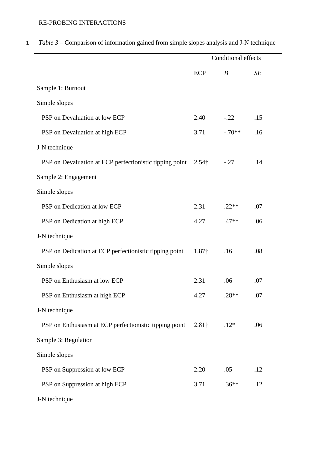|                                                         | <b>Conditional effects</b> |                  |     |
|---------------------------------------------------------|----------------------------|------------------|-----|
|                                                         | <b>ECP</b>                 | $\boldsymbol{B}$ | SE  |
| Sample 1: Burnout                                       |                            |                  |     |
| Simple slopes                                           |                            |                  |     |
| PSP on Devaluation at low ECP                           | 2.40                       | $-.22$           | .15 |
| PSP on Devaluation at high ECP                          | 3.71                       | $-.70**$         | .16 |
| J-N technique                                           |                            |                  |     |
| PSP on Devaluation at ECP perfectionistic tipping point | $2.54\dagger$              | $-.27$           | .14 |
| Sample 2: Engagement                                    |                            |                  |     |
| Simple slopes                                           |                            |                  |     |
| PSP on Dedication at low ECP                            | 2.31                       | $.22**$          | .07 |
| PSP on Dedication at high ECP                           | 4.27                       | $.47**$          | .06 |
| J-N technique                                           |                            |                  |     |
| PSP on Dedication at ECP perfectionistic tipping point  | 1.87†                      | .16              | .08 |
| Simple slopes                                           |                            |                  |     |
| PSP on Enthusiasm at low ECP                            | 2.31                       | .06              | .07 |
| PSP on Enthusiasm at high ECP                           | 4.27                       | $.28**$          | .07 |
| J-N technique                                           |                            |                  |     |
| PSP on Enthusiasm at ECP perfectionistic tipping point  | $2.81\dagger$              | $.12*$           | .06 |
| Sample 3: Regulation                                    |                            |                  |     |
| Simple slopes                                           |                            |                  |     |
| PSP on Suppression at low ECP                           | 2.20                       | .05              | .12 |
| PSP on Suppression at high ECP                          | 3.71                       | $.36**$          | .12 |
| J-N technique                                           |                            |                  |     |

## 1 *Table 3 –* Comparison of information gained from simple slopes analysis and J-N technique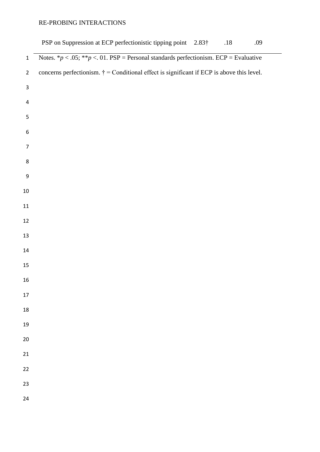|                  | PSP on Suppression at ECP perfectionistic tipping point 2.83 <sup>+</sup><br>.18<br>.09           |  |
|------------------|---------------------------------------------------------------------------------------------------|--|
| $\mathbf 1$      | Notes. * $p < .05$ ; * * $p < .01$ . PSP = Personal standards perfectionism. ECP = Evaluative     |  |
| $\overline{2}$   | concerns perfectionism. $\dagger$ = Conditional effect is significant if ECP is above this level. |  |
| $\mathsf{3}$     |                                                                                                   |  |
| 4                |                                                                                                   |  |
| 5                |                                                                                                   |  |
| $\boldsymbol{6}$ |                                                                                                   |  |
| $\overline{7}$   |                                                                                                   |  |
| $\bf 8$          |                                                                                                   |  |
| $\boldsymbol{9}$ |                                                                                                   |  |
| $10\,$           |                                                                                                   |  |
| 11               |                                                                                                   |  |
| 12               |                                                                                                   |  |
| 13               |                                                                                                   |  |
| 14               |                                                                                                   |  |
| 15               |                                                                                                   |  |
| 16               |                                                                                                   |  |
| 17               |                                                                                                   |  |
| 18               |                                                                                                   |  |
| 19               |                                                                                                   |  |
| 20               |                                                                                                   |  |
| 21               |                                                                                                   |  |
| $22\,$           |                                                                                                   |  |
| 23               |                                                                                                   |  |
| 24               |                                                                                                   |  |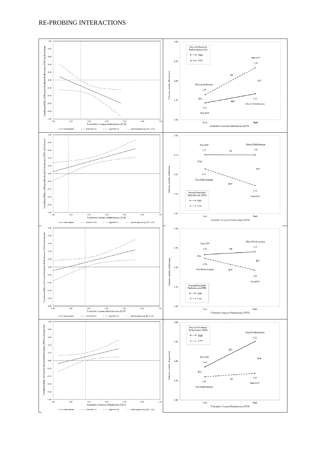